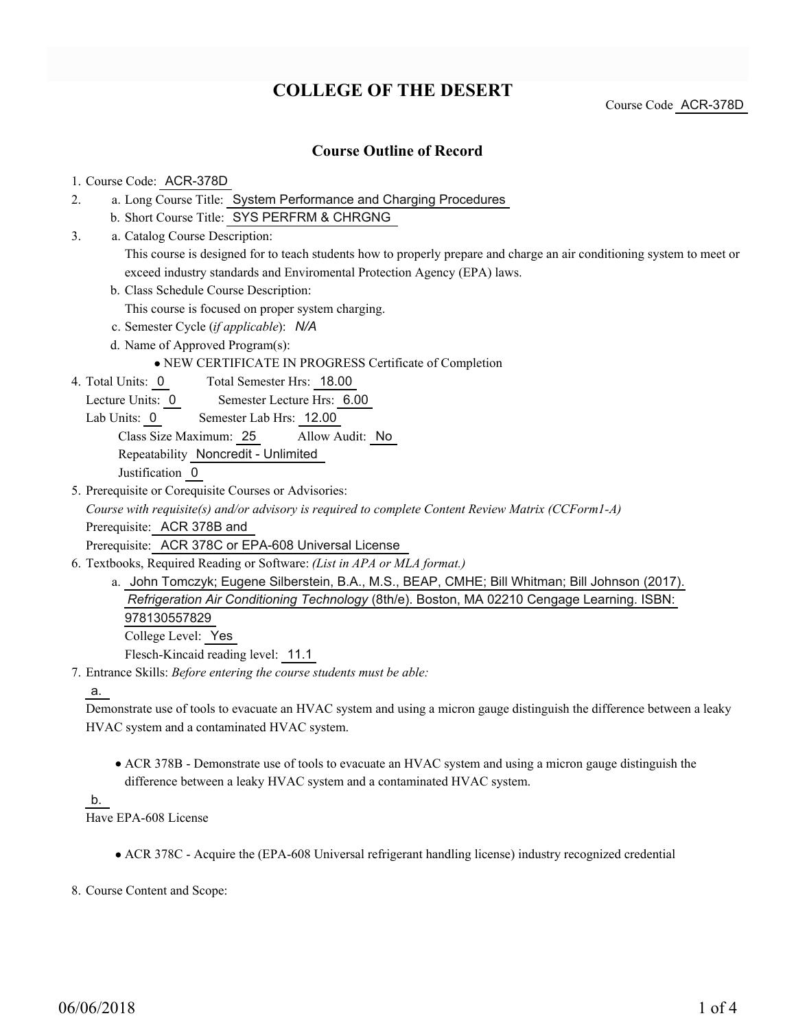# **COLLEGE OF THE DESERT**

Course Code ACR-378D

## **Course Outline of Record**

#### 1. Course Code: ACR-378D

- a. Long Course Title: System Performance and Charging Procedures 2.
	- b. Short Course Title: SYS PERFRM & CHRGNG
- Catalog Course Description: a. 3.

This course is designed for to teach students how to properly prepare and charge an air conditioning system to meet or exceed industry standards and Enviromental Protection Agency (EPA) laws.

b. Class Schedule Course Description:

This course is focused on proper system charging.

- c. Semester Cycle (*if applicable*): *N/A*
- d. Name of Approved Program(s):

NEW CERTIFICATE IN PROGRESS Certificate of Completion

Total Semester Hrs: 18.00 4. Total Units: 0

Lecture Units: 0 Semester Lecture Hrs: 6.00

Lab Units: 0 Semester Lab Hrs: 12.00

Class Size Maximum: 25 Allow Audit: No

Repeatability Noncredit - Unlimited

Justification 0

5. Prerequisite or Corequisite Courses or Advisories:

*Course with requisite(s) and/or advisory is required to complete Content Review Matrix (CCForm1-A)* Prerequisite: ACR 378B and

Prerequisite: ACR 378C or EPA-608 Universal License

- Textbooks, Required Reading or Software: *(List in APA or MLA format.)* 6.
	- a. John Tomczyk; Eugene Silberstein, B.A., M.S., BEAP, CMHE; Bill Whitman; Bill Johnson (2017). *Refrigeration Air Conditioning Technology* (8th/e). Boston, MA 02210 Cengage Learning. ISBN: 978130557829 College Level: Yes Flesch-Kincaid reading level: 11.1
- Entrance Skills: *Before entering the course students must be able:* 7.

a.

Demonstrate use of tools to evacuate an HVAC system and using a micron gauge distinguish the difference between a leaky HVAC system and a contaminated HVAC system.

ACR 378B - Demonstrate use of tools to evacuate an HVAC system and using a micron gauge distinguish the difference between a leaky HVAC system and a contaminated HVAC system.

#### b.

Have EPA-608 License

- ACR 378C Acquire the (EPA-608 Universal refrigerant handling license) industry recognized credential
- 8. Course Content and Scope: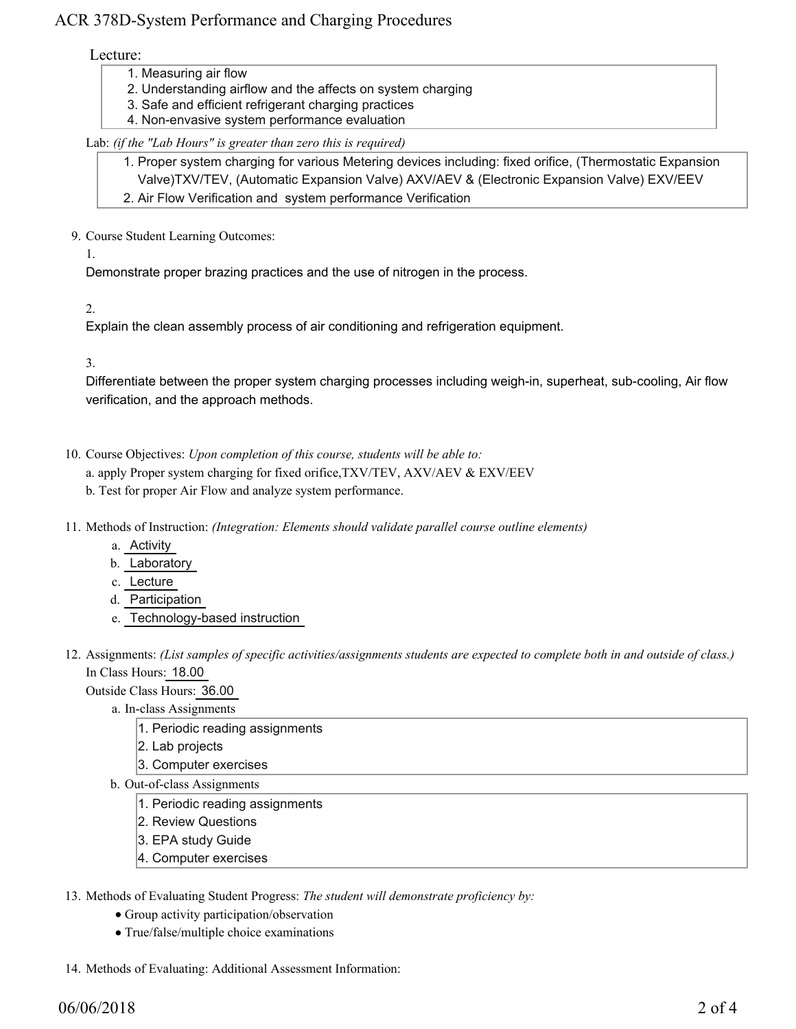## ACR 378D-System Performance and Charging Procedures

### Lecture:

- 1. Measuring air flow
- 2. Understanding airflow and the affects on system charging
- 3. Safe and efficient refrigerant charging practices
- 4. Non-envasive system performance evaluation

## Lab: *(if the "Lab Hours" is greater than zero this is required)*

1. Proper system charging for various Metering devices including: fixed orifice, (Thermostatic Expansion Valve)TXV/TEV, (Automatic Expansion Valve) AXV/AEV & (Electronic Expansion Valve) EXV/EEV 2. Air Flow Verification and system performance Verification

9. Course Student Learning Outcomes:

1.

Demonstrate proper brazing practices and the use of nitrogen in the process.

2.

Explain the clean assembly process of air conditioning and refrigeration equipment.

3.

Differentiate between the proper system charging processes including weigh-in, superheat, sub-cooling, Air flow verification, and the approach methods.

- 10. Course Objectives: Upon completion of this course, students will be able to:
	- a. apply Proper system charging for fixed orifice,TXV/TEV, AXV/AEV & EXV/EEV
	- b. Test for proper Air Flow and analyze system performance.
- 11. Methods of Instruction: *(Integration: Elements should validate parallel course outline elements)* 
	- a. Activity
	- b. Laboratory
	- c. Lecture
	- d. Participation
	- e. Technology-based instruction
- 12. Assignments: (List samples of specific activities/assignments students are expected to complete both in and outside of class.) In Class Hours: 18.00

Outside Class Hours: 36.00

- a. In-class Assignments
	- 1. Periodic reading assignments
	- 2. Lab projects
	- 3. Computer exercises
- b. Out-of-class Assignments
	- 1. Periodic reading assignments
	- 2. Review Questions
	- 3. EPA study Guide
	- 4. Computer exercises

13. Methods of Evaluating Student Progress: The student will demonstrate proficiency by:

- Group activity participation/observation
- True/false/multiple choice examinations
- 14. Methods of Evaluating: Additional Assessment Information: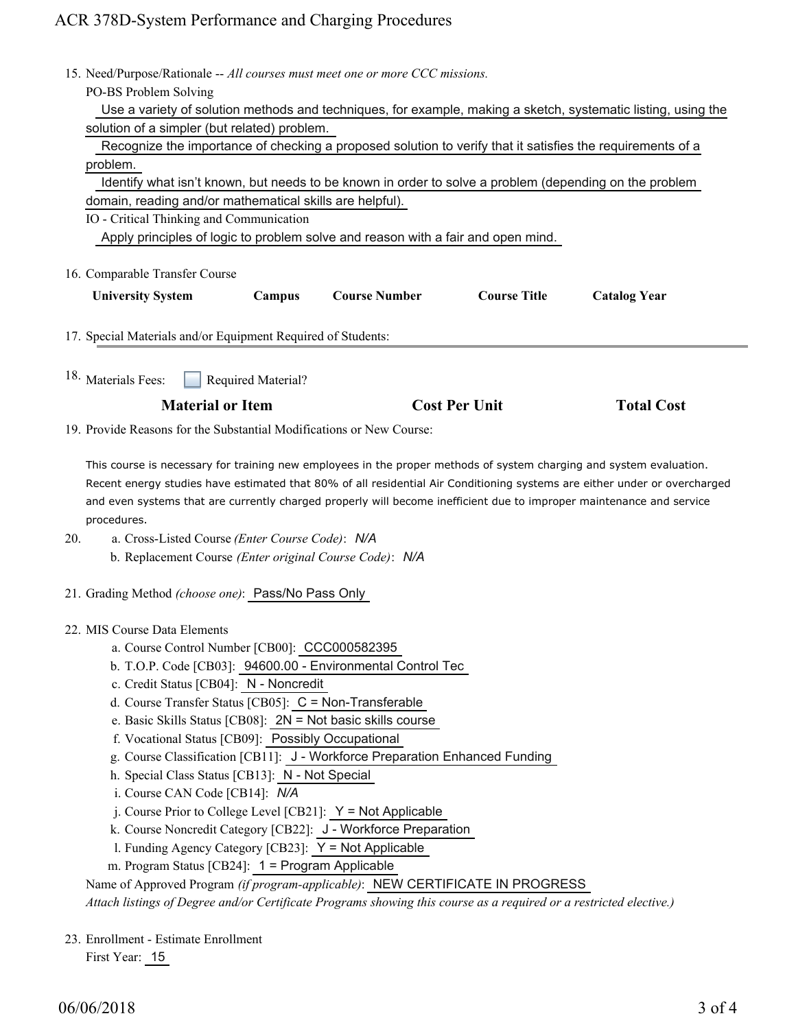# ACR 378D-System Performance and Charging Procedures

|                                                                             | 15. Need/Purpose/Rationale -- All courses must meet one or more CCC missions.                                                                                                                                                                    |        |                      |                     |                     |  |
|-----------------------------------------------------------------------------|--------------------------------------------------------------------------------------------------------------------------------------------------------------------------------------------------------------------------------------------------|--------|----------------------|---------------------|---------------------|--|
|                                                                             | PO-BS Problem Solving<br>Use a variety of solution methods and techniques, for example, making a sketch, systematic listing, using the                                                                                                           |        |                      |                     |                     |  |
|                                                                             | solution of a simpler (but related) problem.                                                                                                                                                                                                     |        |                      |                     |                     |  |
|                                                                             | Recognize the importance of checking a proposed solution to verify that it satisfies the requirements of a                                                                                                                                       |        |                      |                     |                     |  |
|                                                                             | problem.                                                                                                                                                                                                                                         |        |                      |                     |                     |  |
|                                                                             | Identify what isn't known, but needs to be known in order to solve a problem (depending on the problem                                                                                                                                           |        |                      |                     |                     |  |
|                                                                             | domain, reading and/or mathematical skills are helpful).                                                                                                                                                                                         |        |                      |                     |                     |  |
|                                                                             | IO - Critical Thinking and Communication                                                                                                                                                                                                         |        |                      |                     |                     |  |
|                                                                             | Apply principles of logic to problem solve and reason with a fair and open mind.                                                                                                                                                                 |        |                      |                     |                     |  |
| 16. Comparable Transfer Course                                              |                                                                                                                                                                                                                                                  |        |                      |                     |                     |  |
|                                                                             |                                                                                                                                                                                                                                                  |        | <b>Course Number</b> | <b>Course Title</b> |                     |  |
|                                                                             | <b>University System</b>                                                                                                                                                                                                                         | Campus |                      |                     | <b>Catalog Year</b> |  |
|                                                                             | 17. Special Materials and/or Equipment Required of Students:                                                                                                                                                                                     |        |                      |                     |                     |  |
|                                                                             |                                                                                                                                                                                                                                                  |        |                      |                     |                     |  |
|                                                                             | <sup>18.</sup> Materials Fees:<br>Required Material?                                                                                                                                                                                             |        |                      |                     |                     |  |
|                                                                             |                                                                                                                                                                                                                                                  |        |                      |                     |                     |  |
|                                                                             | <b>Material or Item</b>                                                                                                                                                                                                                          |        | <b>Cost Per Unit</b> |                     | <b>Total Cost</b>   |  |
|                                                                             | 19. Provide Reasons for the Substantial Modifications or New Course:                                                                                                                                                                             |        |                      |                     |                     |  |
|                                                                             |                                                                                                                                                                                                                                                  |        |                      |                     |                     |  |
|                                                                             | This course is necessary for training new employees in the proper methods of system charging and system evaluation.<br>Recent energy studies have estimated that 80% of all residential Air Conditioning systems are either under or overcharged |        |                      |                     |                     |  |
|                                                                             | and even systems that are currently charged properly will become inefficient due to improper maintenance and service                                                                                                                             |        |                      |                     |                     |  |
| procedures.                                                                 |                                                                                                                                                                                                                                                  |        |                      |                     |                     |  |
| 20.                                                                         | a. Cross-Listed Course (Enter Course Code): N/A                                                                                                                                                                                                  |        |                      |                     |                     |  |
|                                                                             | b. Replacement Course (Enter original Course Code): N/A                                                                                                                                                                                          |        |                      |                     |                     |  |
|                                                                             |                                                                                                                                                                                                                                                  |        |                      |                     |                     |  |
|                                                                             | 21. Grading Method (choose one): Pass/No Pass Only                                                                                                                                                                                               |        |                      |                     |                     |  |
|                                                                             |                                                                                                                                                                                                                                                  |        |                      |                     |                     |  |
| 22. MIS Course Data Elements                                                |                                                                                                                                                                                                                                                  |        |                      |                     |                     |  |
|                                                                             | a. Course Control Number [CB00]: CCC000582395                                                                                                                                                                                                    |        |                      |                     |                     |  |
|                                                                             | b. T.O.P. Code [CB03]: 94600.00 - Environmental Control Tec<br>c. Credit Status [CB04]: N - Noncredit                                                                                                                                            |        |                      |                     |                     |  |
|                                                                             | d. Course Transfer Status [CB05]: C = Non-Transferable                                                                                                                                                                                           |        |                      |                     |                     |  |
|                                                                             | e. Basic Skills Status [CB08]: 2N = Not basic skills course                                                                                                                                                                                      |        |                      |                     |                     |  |
|                                                                             | f. Vocational Status [CB09]: Possibly Occupational                                                                                                                                                                                               |        |                      |                     |                     |  |
| g. Course Classification [CB11]: J - Workforce Preparation Enhanced Funding |                                                                                                                                                                                                                                                  |        |                      |                     |                     |  |
| h. Special Class Status [CB13]: N - Not Special                             |                                                                                                                                                                                                                                                  |        |                      |                     |                     |  |
| i. Course CAN Code [CB14]: N/A                                              |                                                                                                                                                                                                                                                  |        |                      |                     |                     |  |
|                                                                             | j. Course Prior to College Level [CB21]: $Y = Not$ Applicable                                                                                                                                                                                    |        |                      |                     |                     |  |
|                                                                             | k. Course Noncredit Category [CB22]: J - Workforce Preparation                                                                                                                                                                                   |        |                      |                     |                     |  |
|                                                                             | I. Funding Agency Category [CB23]: Y = Not Applicable                                                                                                                                                                                            |        |                      |                     |                     |  |
|                                                                             | m. Program Status [CB24]: 1 = Program Applicable                                                                                                                                                                                                 |        |                      |                     |                     |  |
|                                                                             | Name of Approved Program (if program-applicable): NEW CERTIFICATE IN PROGRESS<br>Attach listings of Degree and/or Certificate Programs showing this course as a required or a restricted elective.)                                              |        |                      |                     |                     |  |
|                                                                             |                                                                                                                                                                                                                                                  |        |                      |                     |                     |  |
|                                                                             | 23. Enrollment - Estimate Enrollment                                                                                                                                                                                                             |        |                      |                     |                     |  |

First Year: 15